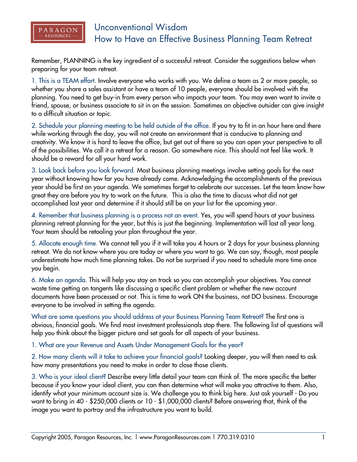

## Unconventional Wisdom How to Have an Effective Business Planning Team Retreat

Remember, PLANNING is the key ingredient of a successful retreat. Consider the suggestions below when preparing for your team retreat.

1. This is a TEAM effort. Involve everyone who works with you. We define a team as 2 or more people, so whether you share a sales assistant or have a team of 10 people, everyone should be involved with the planning. You need to get buy-in from every person who impacts your team. You may even want to invite a friend, spouse, or business associate to sit in on the session. Sometimes an objective outsider can give insight to a difficult situation or topic.

2. Schedule your planning meeting to be held outside of the office. If you try to fit in an hour here and there while working through the day, you will not create an environment that is conducive to planning and creativity. We know it is hard to leave the office, but get out of there so you can open your perspective to all of the possibilities. We call it a retreat for a reason. Go somewhere nice. This should not feel like work. It should be a reward for all your hard work.

3. Look back before you look forward. Most business planning meetings involve setting goals for the next year without knowing how far you have already come. Acknowledging the accomplishments of the previous year should be first on your agenda. We sometimes forget to celebrate our successes. Let the team know how great they are before you try to work on the future. This is also the time to discuss what did not get accomplished last year and determine if it should still be on your list for the upcoming year.

4. Remember that business planning is a process not an event. Yes, you will spend hours at your business planning retreat planning for the year, but this is just the beginning. Implementation will last all year long. Your team should be retooling your plan throughout the year.

5. Allocate enough time. We cannot tell you if it will take you 4 hours or 2 days for your business planning retreat. We do not know where you are today or where you want to go. We can say, though, most people underestimate how much time planning takes. Do not be surprised if you need to schedule more time once you begin.

6. Make an agenda. This will help you stay on track so you can accomplish your objectives. You cannot waste time getting on tangents like discussing a specific client problem or whether the new account documents have been processed or not. This is time to work ON the business, not DO business. Encourage everyone to be involved in setting the agenda.

What are some questions you should address at your Business Planning Team Retreat? The first one is obvious, financial goals. We find most investment professionals stop there. The following list of questions will help you think about the bigger picture and set goals for all aspects of your business.

1. What are your Revenue and Assets Under Management Goals for the year?

2. How many clients will it take to achieve your financial goals? Looking deeper, you will then need to ask how many presentations you need to make in order to close those clients.

3. Who is your ideal client? Describe every little detail your team can think of. The more specific the better because if you know your ideal client, you can then determine what will make you attractive to them. Also, identify what your minimum account size is. We challenge you to think big here. Just ask yourself - Do you want to bring in 40 - \$250,000 clients or 10 - \$1,000,000 clients? Before answering that, think of the image you want to portray and the infrastructure you want to build.